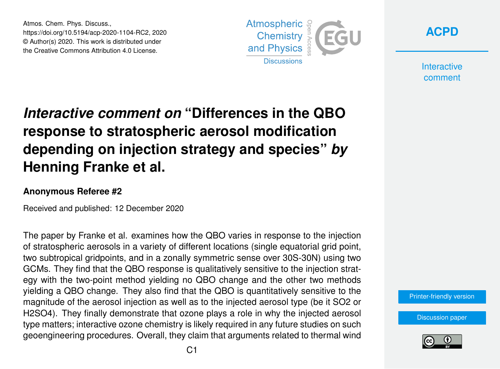Atmos. Chem. Phys. Discuss., https://doi.org/10.5194/acp-2020-1104-RC2, 2020 © Author(s) 2020. This work is distributed under the Creative Commons Attribution 4.0 License.





**Interactive** comment

## *Interactive comment on* **"Differences in the QBO response to stratospheric aerosol modification depending on injection strategy and species"** *by* **Henning Franke et al.**

## **Anonymous Referee #2**

Received and published: 12 December 2020

The paper by Franke et al. examines how the QBO varies in response to the injection of stratospheric aerosols in a variety of different locations (single equatorial grid point, two subtropical gridpoints, and in a zonally symmetric sense over 30S-30N) using two GCMs. They find that the QBO response is qualitatively sensitive to the injection strategy with the two-point method yielding no QBO change and the other two methods yielding a QBO change. They also find that the QBO is quantitatively sensitive to the magnitude of the aerosol injection as well as to the injected aerosol type (be it SO2 or H2SO4). They finally demonstrate that ozone plays a role in why the injected aerosol type matters; interactive ozone chemistry is likely required in any future studies on such geoengineering procedures. Overall, they claim that arguments related to thermal wind

[Printer-friendly version](https://acp.copernicus.org/preprints/acp-2020-1104/acp-2020-1104-RC2-print.pdf)

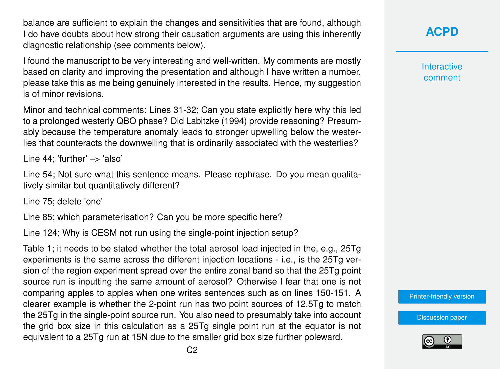balance are sufficient to explain the changes and sensitivities that are found, although I do have doubts about how strong their causation arguments are using this inherently diagnostic relationship (see comments below).

I found the manuscript to be very interesting and well-written. My comments are mostly based on clarity and improving the presentation and although I have written a number, please take this as me being genuinely interested in the results. Hence, my suggestion is of minor revisions.

Minor and technical comments: Lines 31-32; Can you state explicitly here why this led to a prolonged westerly QBO phase? Did Labitzke (1994) provide reasoning? Presumably because the temperature anomaly leads to stronger upwelling below the westerlies that counteracts the downwelling that is ordinarily associated with the westerlies?

Line  $44$ : 'further'  $\rightarrow$  'also'

Line 54; Not sure what this sentence means. Please rephrase. Do you mean qualitatively similar but quantitatively different?

Line 75; delete 'one'

Line 85; which parameterisation? Can you be more specific here?

Line 124; Why is CESM not run using the single-point injection setup?

Table 1; it needs to be stated whether the total aerosol load injected in the, e.g., 25Tg experiments is the same across the different injection locations - i.e., is the 25Tg version of the region experiment spread over the entire zonal band so that the 25Tg point source run is inputting the same amount of aerosol? Otherwise I fear that one is not comparing apples to apples when one writes sentences such as on lines 150-151. A clearer example is whether the 2-point run has two point sources of 12.5Tg to match the 25Tg in the single-point source run. You also need to presumably take into account the grid box size in this calculation as a 25Tg single point run at the equator is not equivalent to a 25Tg run at 15N due to the smaller grid box size further poleward.

**[ACPD](https://acp.copernicus.org/preprints/)**

**Interactive** comment

[Printer-friendly version](https://acp.copernicus.org/preprints/acp-2020-1104/acp-2020-1104-RC2-print.pdf)

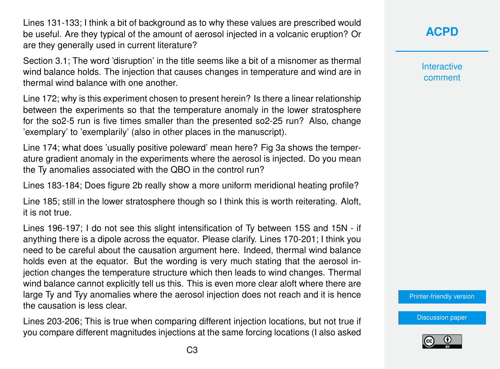Lines 131-133; I think a bit of background as to why these values are prescribed would be useful. Are they typical of the amount of aerosol injected in a volcanic eruption? Or are they generally used in current literature?

Section 3.1; The word 'disruption' in the title seems like a bit of a misnomer as thermal wind balance holds. The injection that causes changes in temperature and wind are in thermal wind balance with one another.

Line 172; why is this experiment chosen to present herein? Is there a linear relationship between the experiments so that the temperature anomaly in the lower stratosphere for the so2-5 run is five times smaller than the presented so2-25 run? Also, change 'exemplary' to 'exemplarily' (also in other places in the manuscript).

Line 174; what does 'usually positive poleward' mean here? Fig 3a shows the temperature gradient anomaly in the experiments where the aerosol is injected. Do you mean the Ty anomalies associated with the QBO in the control run?

Lines 183-184; Does figure 2b really show a more uniform meridional heating profile?

Line 185; still in the lower stratosphere though so I think this is worth reiterating. Aloft, it is not true.

Lines 196-197; I do not see this slight intensification of Ty between 15S and 15N - if anything there is a dipole across the equator. Please clarify. Lines 170-201; I think you need to be careful about the causation argument here. Indeed, thermal wind balance holds even at the equator. But the wording is very much stating that the aerosol injection changes the temperature structure which then leads to wind changes. Thermal wind balance cannot explicitly tell us this. This is even more clear aloft where there are large Ty and Tyy anomalies where the aerosol injection does not reach and it is hence the causation is less clear.

Lines 203-206; This is true when comparing different injection locations, but not true if you compare different magnitudes injections at the same forcing locations (I also asked **Interactive** comment

[Printer-friendly version](https://acp.copernicus.org/preprints/acp-2020-1104/acp-2020-1104-RC2-print.pdf)

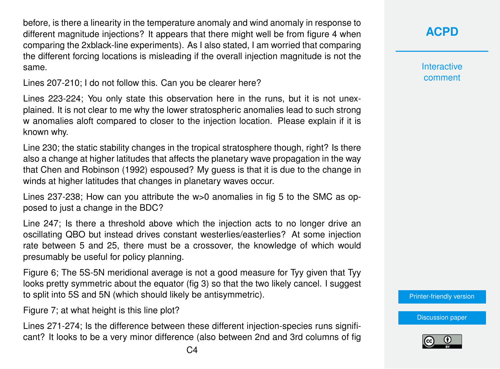before, is there a linearity in the temperature anomaly and wind anomaly in response to different magnitude injections? It appears that there might well be from figure 4 when comparing the 2xblack-line experiments). As I also stated, I am worried that comparing the different forcing locations is misleading if the overall injection magnitude is not the same.

Lines 207-210; I do not follow this. Can you be clearer here?

Lines 223-224; You only state this observation here in the runs, but it is not unexplained. It is not clear to me why the lower stratospheric anomalies lead to such strong w anomalies aloft compared to closer to the injection location. Please explain if it is known why.

Line 230; the static stability changes in the tropical stratosphere though, right? Is there also a change at higher latitudes that affects the planetary wave propagation in the way that Chen and Robinson (1992) espoused? My guess is that it is due to the change in winds at higher latitudes that changes in planetary waves occur.

Lines 237-238; How can you attribute the w>0 anomalies in fig 5 to the SMC as opposed to just a change in the BDC?

Line 247; Is there a threshold above which the injection acts to no longer drive an oscillating QBO but instead drives constant westerlies/easterlies? At some injection rate between 5 and 25, there must be a crossover, the knowledge of which would presumably be useful for policy planning.

Figure 6; The 5S-5N meridional average is not a good measure for Tyy given that Tyy looks pretty symmetric about the equator (fig 3) so that the two likely cancel. I suggest to split into 5S and 5N (which should likely be antisymmetric).

Figure 7; at what height is this line plot?

Lines 271-274; Is the difference between these different injection-species runs significant? It looks to be a very minor difference (also between 2nd and 3rd columns of fig

**Interactive** comment

[Printer-friendly version](https://acp.copernicus.org/preprints/acp-2020-1104/acp-2020-1104-RC2-print.pdf)

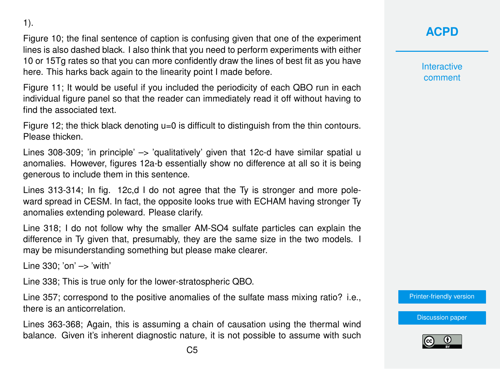$C<sub>5</sub>$ 

1).

Figure 10; the final sentence of caption is confusing given that one of the experiment lines is also dashed black. I also think that you need to perform experiments with either 10 or 15Tg rates so that you can more confidently draw the lines of best fit as you have here. This harks back again to the linearity point I made before.

Figure 11; It would be useful if you included the periodicity of each QBO run in each individual figure panel so that the reader can immediately read it off without having to find the associated text.

Figure 12; the thick black denoting u=0 is difficult to distinguish from the thin contours. Please thicken.

Lines 308-309; 'in principle' -> 'qualitatively' given that 12c-d have similar spatial u anomalies. However, figures 12a-b essentially show no difference at all so it is being generous to include them in this sentence.

Lines 313-314; In fig. 12c,d I do not agree that the Ty is stronger and more poleward spread in CESM. In fact, the opposite looks true with ECHAM having stronger Ty anomalies extending poleward. Please clarify.

Line 318; I do not follow why the smaller AM-SO4 sulfate particles can explain the difference in Ty given that, presumably, they are the same size in the two models. I may be misunderstanding something but please make clearer.

Line  $330$ ; 'on'  $\rightarrow$  'with'

Line 338; This is true only for the lower-stratospheric QBO.

Line 357; correspond to the positive anomalies of the sulfate mass mixing ratio? i.e., there is an anticorrelation.

Lines 363-368; Again, this is assuming a chain of causation using the thermal wind balance. Given it's inherent diagnostic nature, it is not possible to assume with such **[ACPD](https://acp.copernicus.org/preprints/)**

**Interactive** comment

[Printer-friendly version](https://acp.copernicus.org/preprints/acp-2020-1104/acp-2020-1104-RC2-print.pdf)